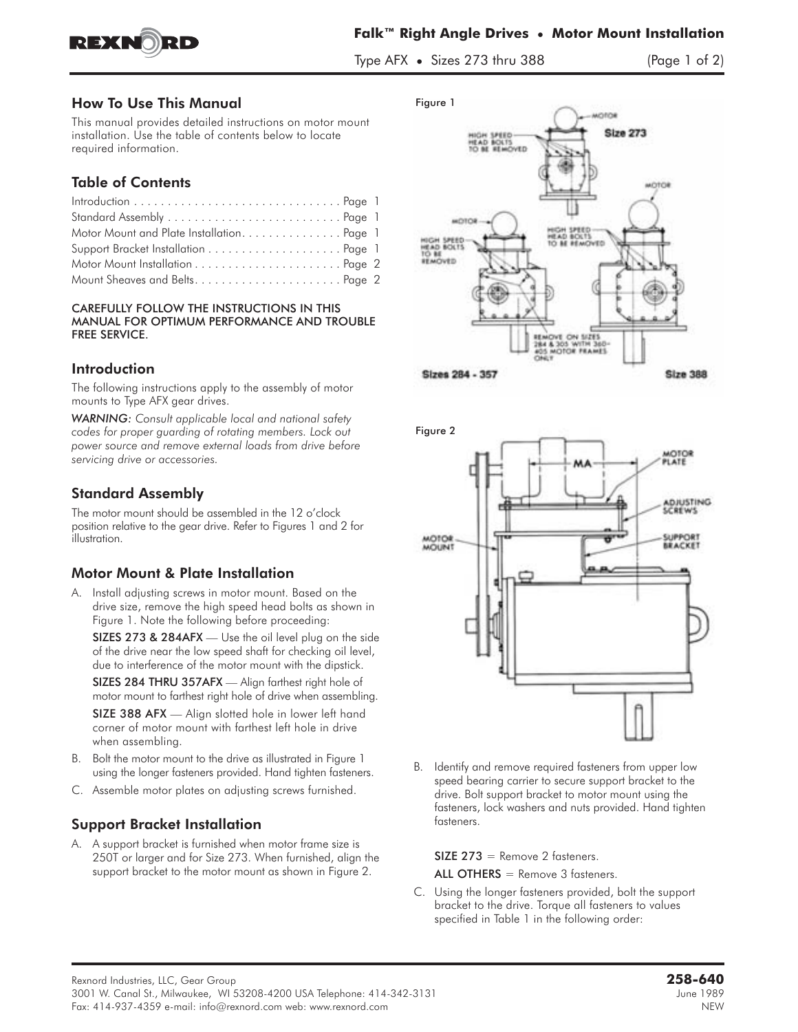

#### How To Use This Manual

This manual provides detailed instructions on motor mount installation. Use the table of contents below to locate required information.

# Table of Contents

| Motor Mount and Plate Installation. Page 1 |  |
|--------------------------------------------|--|
|                                            |  |
|                                            |  |
|                                            |  |

CAREFULLY FOLLOW THE INSTRUCTIONS IN THIS<br>MANUAL FOR OPTIMUM PERFORMANCE AND TROUBLE FREE SERVICE. FREE SERVICE.

### Introduction

The following instructions apply to the assembly of motor mounts to Type AFX gear drives.

*WARNING: Consult applicable local and national safety codes for proper guarding of rotating members. Lock out power source and remove external loads from drive before servicing drive or accessories.*

## Standard Assembly

The motor mount should be assembled in the 12 o'clock position relative to the gear drive. Refer to Figures 1 and 2 for illustration.

## Motor Mount & Plate Installation

A. Install adjusting screws in motor mount. Based on the drive size, remove the high speed head bolts as shown in Figure 1. Note the following before proceeding:

SIZES 273 & 284AFX - Use the oil level plug on the side of the drive near the low speed shaft for checking oil level, due to interference of the motor mount with the dipstick.

SIZES 284 THRU 357AFX — Align farthest right hole of motor mount to farthest right hole of drive when assembling.

SIZE 388 AFX — Align slotted hole in lower left hand corner of motor mount with farthest left hole in drive when assembling.

- B. Bolt the motor mount to the drive as illustrated in Figure 1 using the longer fasteners provided. Hand tighten fasteners.
- C. Assemble motor plates on adjusting screws furnished.

## Support Bracket Installation

A. A support bracket is furnished when motor frame size is 250T or larger and for Size 273. When furnished, align the support bracket to the motor mount as shown in Figure 2.





B. Identify and remove required fasteners from upper low speed bearing carrier to secure support bracket to the drive. Bolt support bracket to motor mount using the fasteners, lock washers and nuts provided. Hand tighten fasteners.

 $SIZE 273 =$  Remove 2 fasteners.

ALL OTHERS = Remove 3 fasteners.

C. Using the longer fasteners provided, bolt the support bracket to the drive. Torque all fasteners to values specified in Table 1 in the following order: